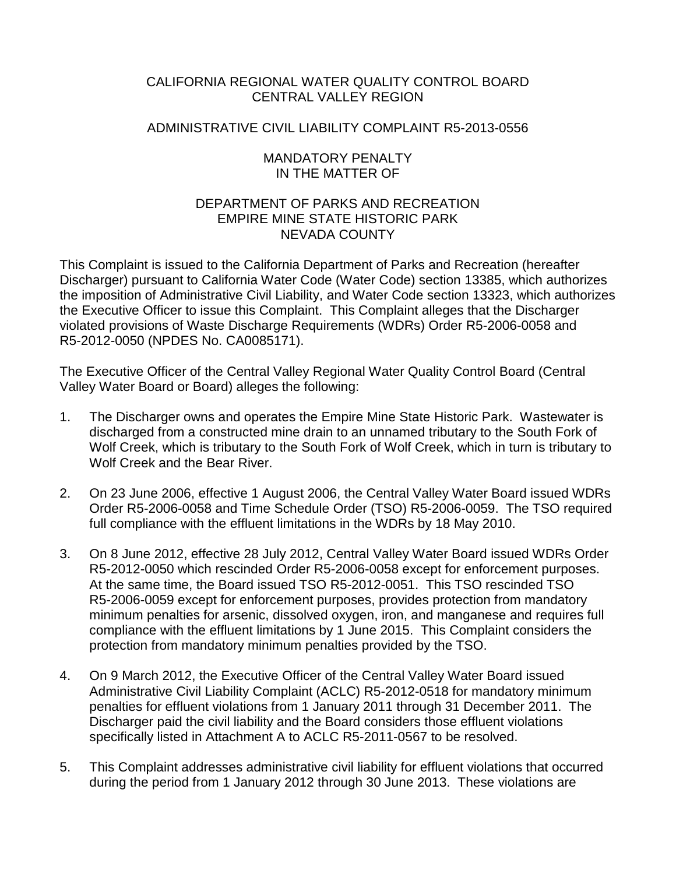## CALIFORNIA REGIONAL WATER QUALITY CONTROL BOARD CENTRAL VALLEY REGION

## ADMINISTRATIVE CIVIL LIABILITY COMPLAINT R5-2013-0556

### MANDATORY PENALTY IN THE MATTER OF

### DEPARTMENT OF PARKS AND RECREATION EMPIRE MINE STATE HISTORIC PARK NEVADA COUNTY

This Complaint is issued to the California Department of Parks and Recreation (hereafter Discharger) pursuant to California Water Code (Water Code) section 13385, which authorizes the imposition of Administrative Civil Liability, and Water Code section 13323, which authorizes the Executive Officer to issue this Complaint. This Complaint alleges that the Discharger violated provisions of Waste Discharge Requirements (WDRs) Order R5-2006-0058 and R5-2012-0050 (NPDES No. CA0085171).

The Executive Officer of the Central Valley Regional Water Quality Control Board (Central Valley Water Board or Board) alleges the following:

- 1. The Discharger owns and operates the Empire Mine State Historic Park. Wastewater is discharged from a constructed mine drain to an unnamed tributary to the South Fork of Wolf Creek, which is tributary to the South Fork of Wolf Creek, which in turn is tributary to Wolf Creek and the Bear River.
- 2. On 23 June 2006, effective 1 August 2006, the Central Valley Water Board issued WDRs Order R5-2006-0058 and Time Schedule Order (TSO) R5-2006-0059. The TSO required full compliance with the effluent limitations in the WDRs by 18 May 2010.
- 3. On 8 June 2012, effective 28 July 2012, Central Valley Water Board issued WDRs Order R5-2012-0050 which rescinded Order R5-2006-0058 except for enforcement purposes. At the same time, the Board issued TSO R5-2012-0051. This TSO rescinded TSO R5-2006-0059 except for enforcement purposes, provides protection from mandatory minimum penalties for arsenic, dissolved oxygen, iron, and manganese and requires full compliance with the effluent limitations by 1 June 2015. This Complaint considers the protection from mandatory minimum penalties provided by the TSO.
- 4. On 9 March 2012, the Executive Officer of the Central Valley Water Board issued Administrative Civil Liability Complaint (ACLC) R5-2012-0518 for mandatory minimum penalties for effluent violations from 1 January 2011 through 31 December 2011. The Discharger paid the civil liability and the Board considers those effluent violations specifically listed in Attachment A to ACLC R5-2011-0567 to be resolved.
- 5. This Complaint addresses administrative civil liability for effluent violations that occurred during the period from 1 January 2012 through 30 June 2013. These violations are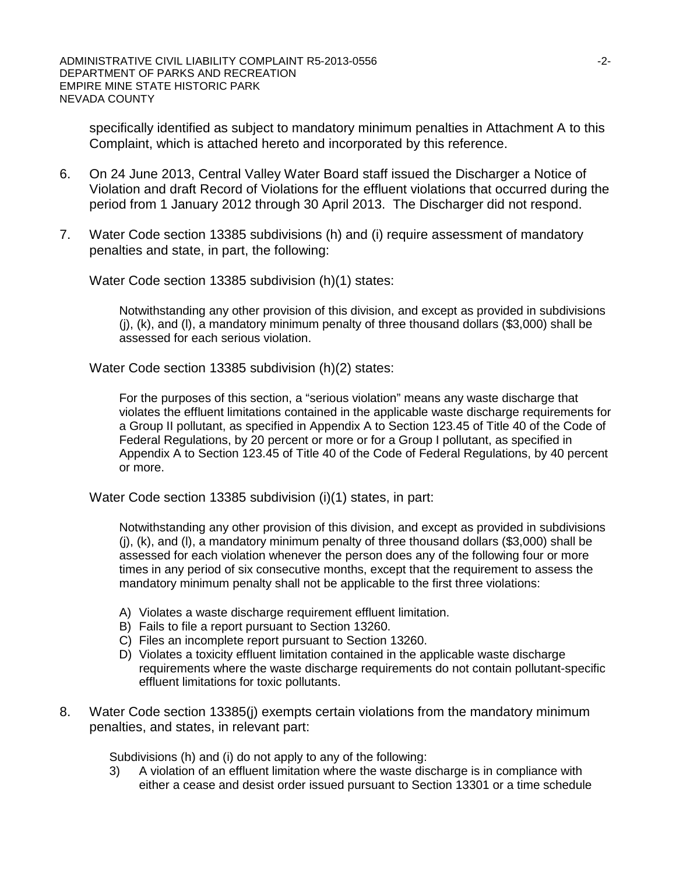specifically identified as subject to mandatory minimum penalties in Attachment A to this Complaint, which is attached hereto and incorporated by this reference.

- 6. On 24 June 2013, Central Valley Water Board staff issued the Discharger a Notice of Violation and draft Record of Violations for the effluent violations that occurred during the period from 1 January 2012 through 30 April 2013. The Discharger did not respond.
- 7. Water Code section 13385 subdivisions (h) and (i) require assessment of mandatory penalties and state, in part, the following:

Water Code section 13385 subdivision (h)(1) states:

Notwithstanding any other provision of this division, and except as provided in subdivisions  $(i)$ ,  $(k)$ , and  $(l)$ , a mandatory minimum penalty of three thousand dollars (\$3,000) shall be assessed for each serious violation.

Water Code section 13385 subdivision (h)(2) states:

For the purposes of this section, a "serious violation" means any waste discharge that violates the effluent limitations contained in the applicable waste discharge requirements for a Group II pollutant, as specified in Appendix A to Section 123.45 of Title 40 of the Code of Federal Regulations, by 20 percent or more or for a Group I pollutant, as specified in Appendix A to Section 123.45 of Title 40 of the Code of Federal Regulations, by 40 percent or more.

Water Code section 13385 subdivision (i)(1) states, in part:

Notwithstanding any other provision of this division, and except as provided in subdivisions (j), (k), and (l), a mandatory minimum penalty of three thousand dollars (\$3,000) shall be assessed for each violation whenever the person does any of the following four or more times in any period of six consecutive months, except that the requirement to assess the mandatory minimum penalty shall not be applicable to the first three violations:

- A) Violates a waste discharge requirement effluent limitation.
- B) Fails to file a report pursuant to Section 13260.
- C) Files an incomplete report pursuant to Section 13260.
- D) Violates a toxicity effluent limitation contained in the applicable waste discharge requirements where the waste discharge requirements do not contain pollutant-specific effluent limitations for toxic pollutants.
- 8. Water Code section 13385(j) exempts certain violations from the mandatory minimum penalties, and states, in relevant part:

Subdivisions (h) and (i) do not apply to any of the following:

3) A violation of an effluent limitation where the waste discharge is in compliance with either a cease and desist order issued pursuant to Section 13301 or a time schedule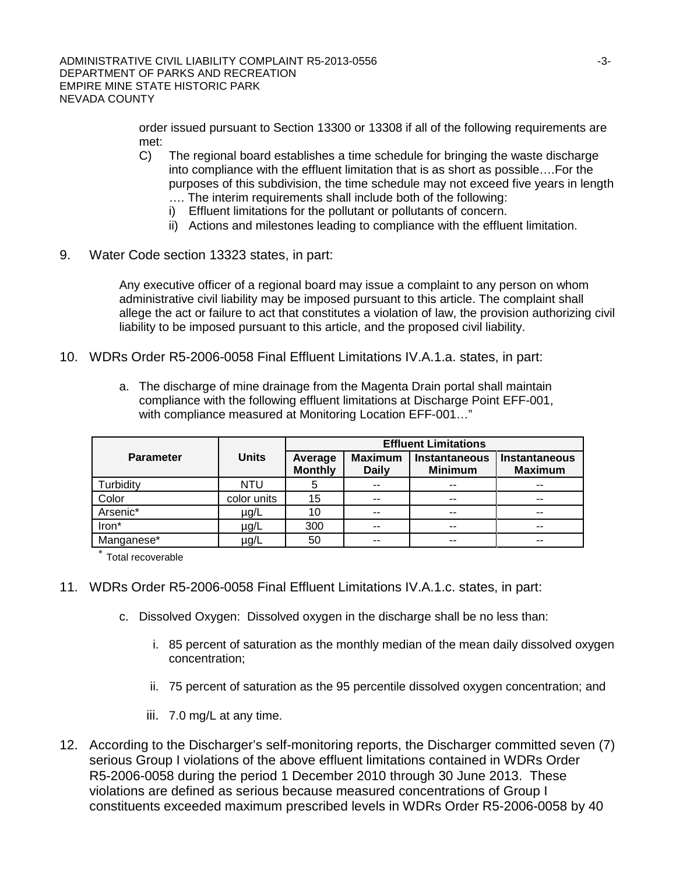order issued pursuant to Section 13300 or 13308 if all of the following requirements are met:

- C) The regional board establishes a time schedule for bringing the waste discharge into compliance with the effluent limitation that is as short as possible….For the purposes of this subdivision, the time schedule may not exceed five years in length …. The interim requirements shall include both of the following:
	- i) Effluent limitations for the pollutant or pollutants of concern.
	- ii) Actions and milestones leading to compliance with the effluent limitation.
- 9. Water Code section 13323 states, in part:

Any executive officer of a regional board may issue a complaint to any person on whom administrative civil liability may be imposed pursuant to this article. The complaint shall allege the act or failure to act that constitutes a violation of law, the provision authorizing civil liability to be imposed pursuant to this article, and the proposed civil liability.

- 10. WDRs Order R5-2006-0058 Final Effluent Limitations IV.A.1.a. states, in part:
	- a. The discharge of mine drainage from the Magenta Drain portal shall maintain compliance with the following effluent limitations at Discharge Point EFF-001, with compliance measured at Monitoring Location EFF-001…"

|                  |              | <b>Effluent Limitations</b> |                                |                                        |                                        |  |
|------------------|--------------|-----------------------------|--------------------------------|----------------------------------------|----------------------------------------|--|
| <b>Parameter</b> | <b>Units</b> | Average<br><b>Monthly</b>   | <b>Maximum</b><br><b>Daily</b> | <b>Instantaneous</b><br><b>Minimum</b> | <b>Instantaneous</b><br><b>Maximum</b> |  |
| Turbidity        | <b>NTU</b>   | 5                           | $- -$                          | --                                     | --                                     |  |
| Color            | color units  | 15                          |                                | $- -$                                  | $-$                                    |  |
| Arsenic*         | µg/L         | 10                          | $- -$                          | $- -$                                  | --                                     |  |
| Iron*            | µg/L         | 300                         | $- -$                          | $- -$                                  | --                                     |  |
| Manganese*       | µg/L         | 50                          |                                | --                                     | --                                     |  |

Total recoverable

- 11. WDRs Order R5-2006-0058 Final Effluent Limitations IV.A.1.c. states, in part:
	- c. Dissolved Oxygen: Dissolved oxygen in the discharge shall be no less than:
		- i. 85 percent of saturation as the monthly median of the mean daily dissolved oxygen concentration;
		- ii. 75 percent of saturation as the 95 percentile dissolved oxygen concentration; and
		- iii. 7.0 mg/L at any time.
- 12. According to the Discharger's self-monitoring reports, the Discharger committed seven (7) serious Group I violations of the above effluent limitations contained in WDRs Order R5-2006-0058 during the period 1 December 2010 through 30 June 2013. These violations are defined as serious because measured concentrations of Group I constituents exceeded maximum prescribed levels in WDRs Order R5-2006-0058 by 40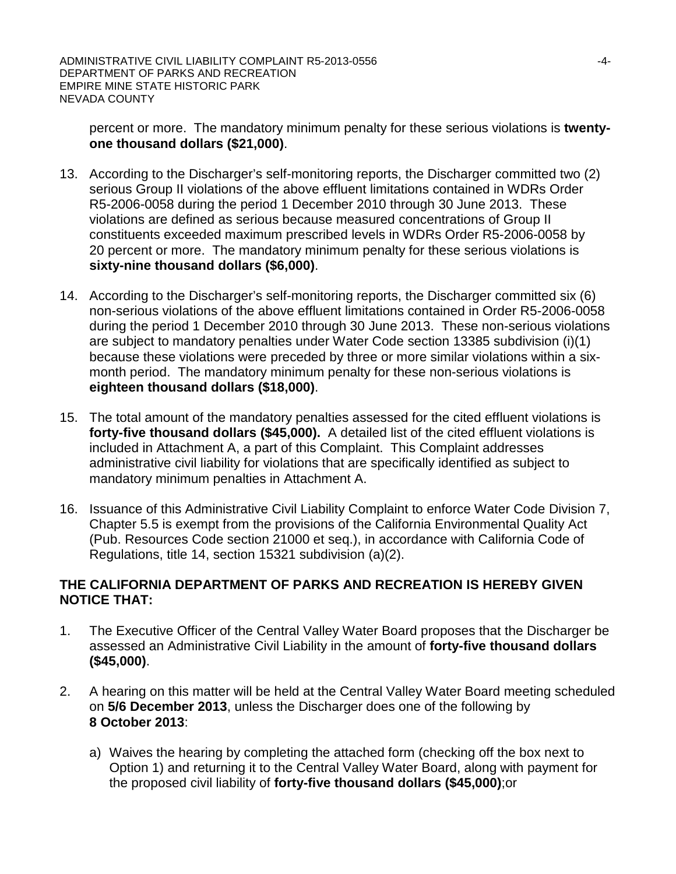percent or more. The mandatory minimum penalty for these serious violations is **twentyone thousand dollars (\$21,000)**.

- 13. According to the Discharger's self-monitoring reports, the Discharger committed two (2) serious Group II violations of the above effluent limitations contained in WDRs Order R5-2006-0058 during the period 1 December 2010 through 30 June 2013. These violations are defined as serious because measured concentrations of Group II constituents exceeded maximum prescribed levels in WDRs Order R5-2006-0058 by 20 percent or more. The mandatory minimum penalty for these serious violations is **sixty-nine thousand dollars (\$6,000)**.
- 14. According to the Discharger's self-monitoring reports, the Discharger committed six (6) non-serious violations of the above effluent limitations contained in Order R5-2006-0058 during the period 1 December 2010 through 30 June 2013. These non-serious violations are subject to mandatory penalties under Water Code section 13385 subdivision (i)(1) because these violations were preceded by three or more similar violations within a sixmonth period. The mandatory minimum penalty for these non-serious violations is **eighteen thousand dollars (\$18,000)**.
- 15. The total amount of the mandatory penalties assessed for the cited effluent violations is **forty-five thousand dollars (\$45,000).** A detailed list of the cited effluent violations is included in Attachment A, a part of this Complaint. This Complaint addresses administrative civil liability for violations that are specifically identified as subject to mandatory minimum penalties in Attachment A.
- 16. Issuance of this Administrative Civil Liability Complaint to enforce Water Code Division 7, Chapter 5.5 is exempt from the provisions of the California Environmental Quality Act (Pub. Resources Code section 21000 et seq.), in accordance with California Code of Regulations, title 14, section 15321 subdivision (a)(2).

# **THE CALIFORNIA DEPARTMENT OF PARKS AND RECREATION IS HEREBY GIVEN NOTICE THAT:**

- 1. The Executive Officer of the Central Valley Water Board proposes that the Discharger be assessed an Administrative Civil Liability in the amount of **forty-five thousand dollars (\$45,000)**.
- 2. A hearing on this matter will be held at the Central Valley Water Board meeting scheduled on **5/6 December 2013**, unless the Discharger does one of the following by **8 October 2013**:
	- a) Waives the hearing by completing the attached form (checking off the box next to Option 1) and returning it to the Central Valley Water Board, along with payment for the proposed civil liability of **forty-five thousand dollars (\$45,000)**;or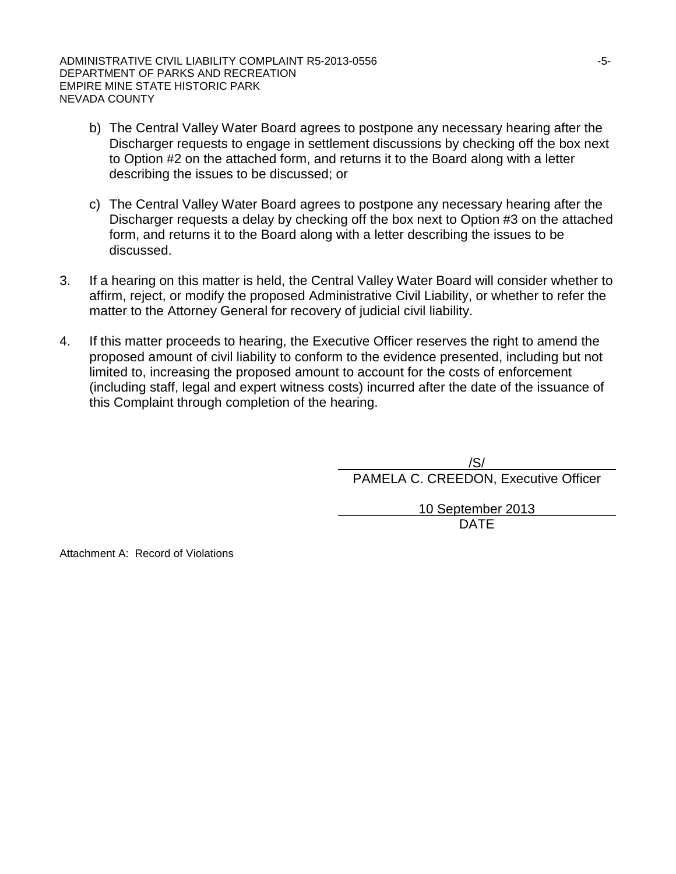ADMINISTRATIVE CIVIL LIABILITY COMPLAINT R5-2013-0556 **AUGUST 12013-0556** DEPARTMENT OF PARKS AND RECREATION EMPIRE MINE STATE HISTORIC PARK NEVADA COUNTY

- b) The Central Valley Water Board agrees to postpone any necessary hearing after the Discharger requests to engage in settlement discussions by checking off the box next to Option #2 on the attached form, and returns it to the Board along with a letter describing the issues to be discussed; or
- c) The Central Valley Water Board agrees to postpone any necessary hearing after the Discharger requests a delay by checking off the box next to Option #3 on the attached form, and returns it to the Board along with a letter describing the issues to be discussed.
- 3. If a hearing on this matter is held, the Central Valley Water Board will consider whether to affirm, reject, or modify the proposed Administrative Civil Liability, or whether to refer the matter to the Attorney General for recovery of judicial civil liability.
- 4. If this matter proceeds to hearing, the Executive Officer reserves the right to amend the proposed amount of civil liability to conform to the evidence presented, including but not limited to, increasing the proposed amount to account for the costs of enforcement (including staff, legal and expert witness costs) incurred after the date of the issuance of this Complaint through completion of the hearing.

/S/ PAMELA C. CREEDON, Executive Officer

> 10 September 2013 DATE

Attachment A: Record of Violations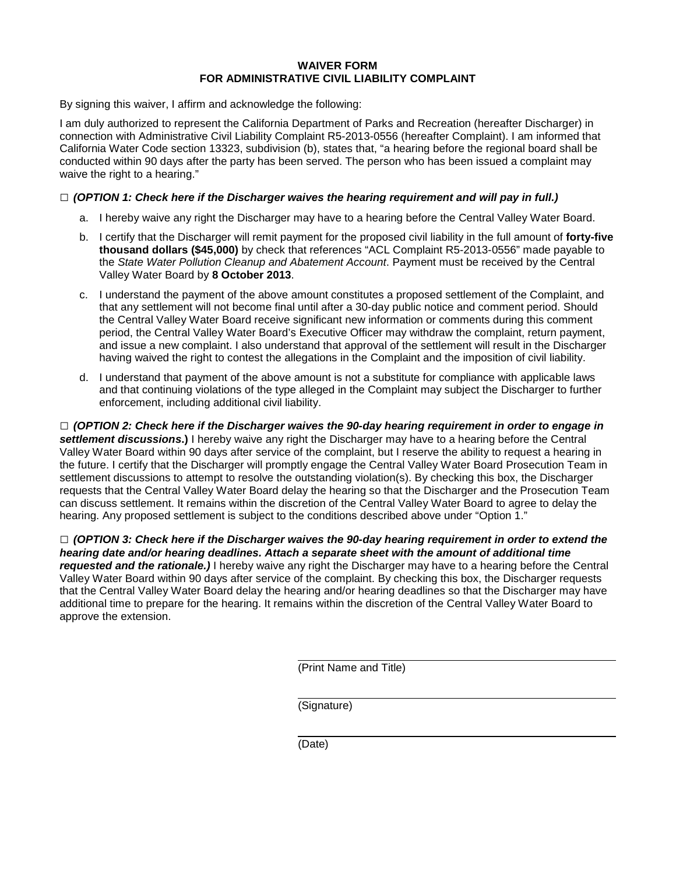#### **WAIVER FORM FOR ADMINISTRATIVE CIVIL LIABILITY COMPLAINT**

By signing this waiver, I affirm and acknowledge the following:

I am duly authorized to represent the California Department of Parks and Recreation (hereafter Discharger) in connection with Administrative Civil Liability Complaint R5-2013-0556 (hereafter Complaint). I am informed that California Water Code section 13323, subdivision (b), states that, "a hearing before the regional board shall be conducted within 90 days after the party has been served. The person who has been issued a complaint may waive the right to a hearing."

### **□** *(OPTION 1: Check here if the Discharger waives the hearing requirement and will pay in full.)*

- a. I hereby waive any right the Discharger may have to a hearing before the Central Valley Water Board.
- b. I certify that the Discharger will remit payment for the proposed civil liability in the full amount of **forty-five thousand dollars (\$45,000)** by check that references "ACL Complaint R5-2013-0556" made payable to the *State Water Pollution Cleanup and Abatement Account*. Payment must be received by the Central Valley Water Board by **8 October 2013**.
- c. I understand the payment of the above amount constitutes a proposed settlement of the Complaint, and that any settlement will not become final until after a 30-day public notice and comment period. Should the Central Valley Water Board receive significant new information or comments during this comment period, the Central Valley Water Board's Executive Officer may withdraw the complaint, return payment, and issue a new complaint. I also understand that approval of the settlement will result in the Discharger having waived the right to contest the allegations in the Complaint and the imposition of civil liability.
- d. I understand that payment of the above amount is not a substitute for compliance with applicable laws and that continuing violations of the type alleged in the Complaint may subject the Discharger to further enforcement, including additional civil liability.

**□** *(OPTION 2: Check here if the Discharger waives the 90-day hearing requirement in order to engage in settlement discussions***.)** I hereby waive any right the Discharger may have to a hearing before the Central Valley Water Board within 90 days after service of the complaint, but I reserve the ability to request a hearing in the future. I certify that the Discharger will promptly engage the Central Valley Water Board Prosecution Team in settlement discussions to attempt to resolve the outstanding violation(s). By checking this box, the Discharger requests that the Central Valley Water Board delay the hearing so that the Discharger and the Prosecution Team can discuss settlement. It remains within the discretion of the Central Valley Water Board to agree to delay the hearing. Any proposed settlement is subject to the conditions described above under "Option 1."

**□** *(OPTION 3: Check here if the Discharger waives the 90-day hearing requirement in order to extend the hearing date and/or hearing deadlines. Attach a separate sheet with the amount of additional time requested and the rationale.)* I hereby waive any right the Discharger may have to a hearing before the Central Valley Water Board within 90 days after service of the complaint. By checking this box, the Discharger requests that the Central Valley Water Board delay the hearing and/or hearing deadlines so that the Discharger may have additional time to prepare for the hearing. It remains within the discretion of the Central Valley Water Board to approve the extension.

(Print Name and Title)

(Signature)

(Date)